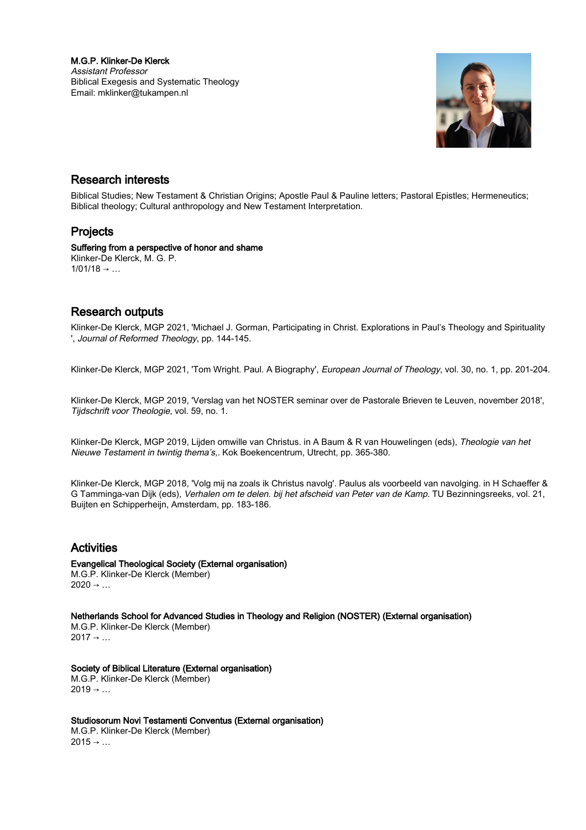M.G.P. Klinker-De Klerck Assistant Professor Biblical Exegesis and Systematic Theology Email: mklinker@tukampen.nl



### Research interests

Biblical Studies; New Testament & Christian Origins; Apostle Paul & Pauline letters; Pastoral Epistles; Hermeneutics; Biblical theology; Cultural anthropology and New Testament Interpretation.

# Projects

Suffering from a perspective of honor and shame Klinker-De Klerck, M. G. P.  $1/01/18 \rightarrow ...$ 

### Research outputs

Klinker-De Klerck, MGP 2021, 'Michael J. Gorman, Participating in Christ. Explorations in Paul's Theology and Spirituality ', Journal of Reformed Theology, pp. 144-145.

Klinker-De Klerck, MGP 2021, 'Tom Wright. Paul. A Biography', European Journal of Theology, vol. 30, no. 1, pp. 201-204.

Klinker-De Klerck, MGP 2019, 'Verslag van het NOSTER seminar over de Pastorale Brieven te Leuven, november 2018', Tijdschrift voor Theologie, vol. 59, no. 1.

Klinker-De Klerck, MGP 2019, Lijden omwille van Christus. in A Baum & R van Houwelingen (eds), Theologie van het Nieuwe Testament in twintig thema's,. Kok Boekencentrum, Utrecht, pp. 365-380.

Klinker-De Klerck, MGP 2018, 'Volg mij na zoals ik Christus navolg'. Paulus als voorbeeld van navolging. in H Schaeffer & G Tamminga-van Dijk (eds), Verhalen om te delen. bij het afscheid van Peter van de Kamp. TU Bezinningsreeks, vol. 21, Buijten en Schipperheijn, Amsterdam, pp. 183-186.

# Activities

Evangelical Theological Society (External organisation) M.G.P. Klinker-De Klerck (Member)  $2020 \rightarrow ...$ 

Netherlands School for Advanced Studies in Theology and Religion (NOSTER) (External organisation)

M.G.P. Klinker-De Klerck (Member)  $2017 \rightarrow ...$ 

#### Society of Biblical Literature (External organisation) M.G.P. Klinker-De Klerck (Member)

 $2019 \rightarrow ...$ 

Studiosorum Novi Testamenti Conventus (External organisation)

M.G.P. Klinker-De Klerck (Member)  $2015 \rightarrow ...$